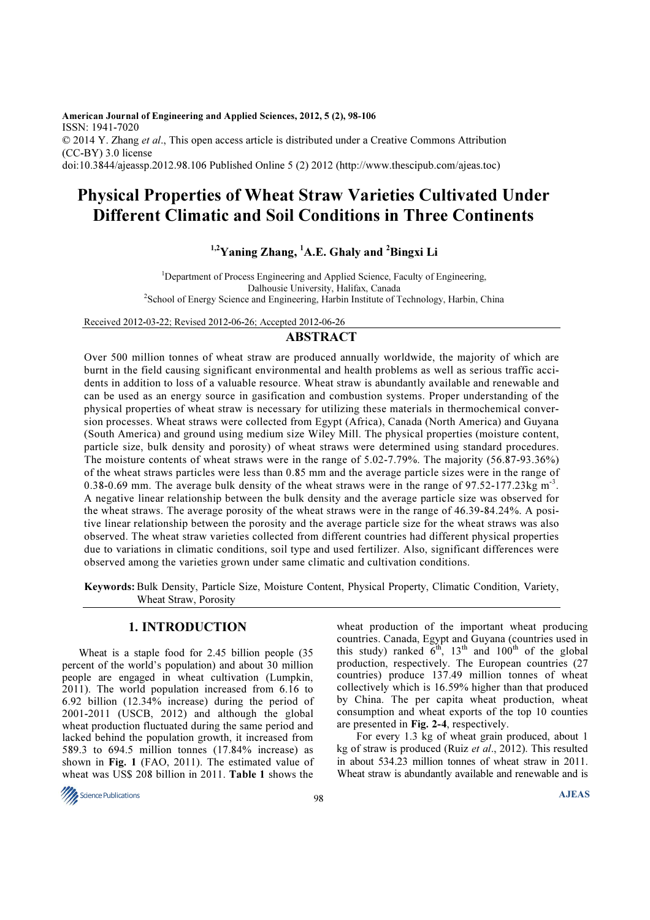American Journal of Engineering and Applied Sciences, 2012, 5 (2), 98-106 ISSN: 1941-7020 © 2014 Y. Zhang et al., This open access article is distributed under a Creative Commons Attribution (CC-BY) 3.0 license doi:10.3844/ajeassp.2012.98.106 Published Online 5 (2) 2012 (http://www.thescipub.com/ajeas.toc)

## Physical Properties of Wheat Straw Varieties Cultivated Under Different Climatic and Soil Conditions in Three Continents

## $1,2$ Yaning Zhang,  $1$ A.E. Ghaly and  $2$ Bingxi Li

<sup>1</sup>Department of Process Engineering and Applied Science, Faculty of Engineering, Dalhousie University, Halifax, Canada <sup>2</sup>School of Energy Science and Engineering, Harbin Institute of Technology, Harbin, China

Received 2012-03-22; Revised 2012-06-26; Accepted 2012-06-26

## ABSTRACT

Over 500 million tonnes of wheat straw are produced annually worldwide, the majority of which are burnt in the field causing significant environmental and health problems as well as serious traffic accidents in addition to loss of a valuable resource. Wheat straw is abundantly available and renewable and can be used as an energy source in gasification and combustion systems. Proper understanding of the physical properties of wheat straw is necessary for utilizing these materials in thermochemical conversion processes. Wheat straws were collected from Egypt (Africa), Canada (North America) and Guyana (South America) and ground using medium size Wiley Mill. The physical properties (moisture content, particle size, bulk density and porosity) of wheat straws were determined using standard procedures. The moisture contents of wheat straws were in the range of 5.02-7.79%. The majority (56.87-93.36%) of the wheat straws particles were less than 0.85 mm and the average particle sizes were in the range of 0.38-0.69 mm. The average bulk density of the wheat straws were in the range of 97.52-177.23kg  $\text{m}^3$ . A negative linear relationship between the bulk density and the average particle size was observed for the wheat straws. The average porosity of the wheat straws were in the range of 46.39-84.24%. A positive linear relationship between the porosity and the average particle size for the wheat straws was also observed. The wheat straw varieties collected from different countries had different physical properties due to variations in climatic conditions, soil type and used fertilizer. Also, significant differences were observed among the varieties grown under same climatic and cultivation conditions.

Keywords: Bulk Density, Particle Size, Moisture Content, Physical Property, Climatic Condition, Variety, Wheat Straw, Porosity

## 1. INTRODUCTION

Wheat is a staple food for 2.45 billion people (35 percent of the world's population) and about 30 million people are engaged in wheat cultivation (Lumpkin, 2011). The world population increased from 6.16 to 6.92 billion (12.34% increase) during the period of 2001-2011 (USCB, 2012) and although the global wheat production fluctuated during the same period and lacked behind the population growth, it increased from 589.3 to 694.5 million tonnes (17.84% increase) as shown in Fig. 1 (FAO, 2011). The estimated value of wheat was US\$ 208 billion in 2011. Table 1 shows the

wheat production of the important wheat producing countries. Canada, Egypt and Guyana (countries used in this study) ranked  $6<sup>th</sup>$ ,  $13<sup>th</sup>$  and  $100<sup>th</sup>$  of the global production, respectively. The European countries (27 countries) produce 137.49 million tonnes of wheat collectively which is 16.59% higher than that produced by China. The per capita wheat production, wheat consumption and wheat exports of the top 10 counties are presented in Fig. 2-4, respectively.

 For every 1.3 kg of wheat grain produced, about 1 kg of straw is produced (Ruiz et al., 2012). This resulted in about 534.23 million tonnes of wheat straw in 2011. Wheat straw is abundantly available and renewable and is

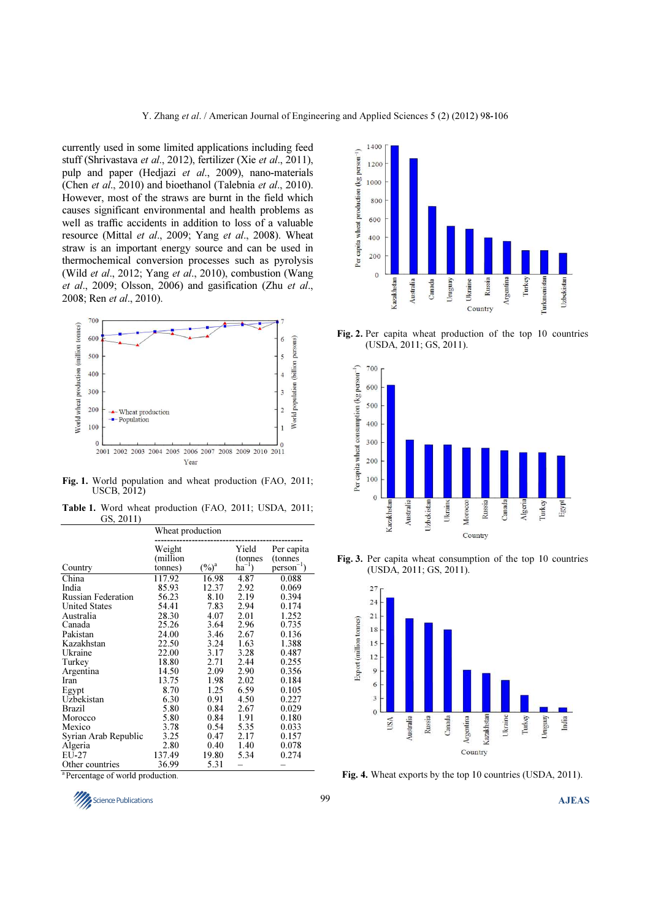currently used in some limited applications including feed stuff (Shrivastava et al., 2012), fertilizer (Xie et al., 2011), pulp and paper (Hedjazi et al., 2009), nano-materials (Chen et al., 2010) and bioethanol (Talebnia et al., 2010). However, most of the straws are burnt in the field which causes significant environmental and health problems as well as traffic accidents in addition to loss of a valuable resource (Mittal et al., 2009; Yang et al., 2008). Wheat straw is an important energy source and can be used in thermochemical conversion processes such as pyrolysis (Wild et al., 2012; Yang et al., 2010), combustion (Wang et al., 2009; Olsson, 2006) and gasification (Zhu et al., 2008; Ren et al., 2010).



Fig. 1. World population and wheat production (FAO, 2011; USCB, 2012)

Table 1. Word wheat production (FAO, 2011; USDA, 2011; GS, 2011)

|                      | Wheat production              |          |                                        |                                          |  |
|----------------------|-------------------------------|----------|----------------------------------------|------------------------------------------|--|
| Country              | Weight<br>(million<br>tonnes) | $(\%)^a$ | Yield<br>(tonnes)<br>$\hat{h}a^{-1}$ ) | Per capita<br>(tonnes<br>$person^{-1}$ ) |  |
| China                | 117.92                        | 16.98    | 4.87                                   | 0.088                                    |  |
| India                | 85.93                         | 12.37    | 2.92                                   | 0.069                                    |  |
| Russian Federation   | 56.23                         | 8.10     | 2.19                                   | 0.394                                    |  |
| <b>United States</b> | 54.41                         | 7.83     | 2.94                                   | 0.174                                    |  |
| Australia            | 28.30                         | 4.07     | 2.01                                   | 1.252                                    |  |
| Canada               | 25.26                         | 3.64     | 2.96                                   | 0.735                                    |  |
| Pakistan             | 24.00                         | 3.46     | 2.67                                   | 0.136                                    |  |
| Kazakhstan           | 22.50                         | 3.24     | 1.63                                   | 1.388                                    |  |
| Ukraine              | 22.00                         | 3.17     | 3.28                                   | 0.487                                    |  |
| Turkey               | 18.80                         | 2.71     | 2.44                                   | 0.255                                    |  |
| Argentina            | 14.50                         | 2.09     | 2.90                                   | 0.356                                    |  |
| Iran                 | 13.75                         | 1.98     | 2.02                                   | 0.184                                    |  |
| Egypt                | 8.70                          | 1.25     | 6.59                                   | 0.105                                    |  |
| Uzbekistan           | 6.30                          | 0.91     | 4.50                                   | 0.227                                    |  |
| <b>Brazil</b>        | 5.80                          | 0.84     | 2.67                                   | 0.029                                    |  |
| Morocco              | 5.80                          | 0.84     | 1.91                                   | 0.180                                    |  |
| Mexico               | 3.78                          | 0.54     | 5.35                                   | 0.033                                    |  |
| Syrian Arab Republic | 3.25                          | 0.47     | 2.17                                   | 0.157                                    |  |
| Algeria              | 2.80                          | 0.40     | 1.40                                   | 0.078                                    |  |
| EU-27                | 137.49                        | 19.80    | 5.34                                   | 0.274                                    |  |
| Other countries      | 36.99                         | 5.31     |                                        |                                          |  |

<sup>a</sup> Percentage of world production.





Fig. 2. Per capita wheat production of the top 10 countries (USDA, 2011; GS, 2011).



Fig. 3. Per capita wheat consumption of the top 10 countries (USDA, 2011; GS, 2011).



Fig. 4. Wheat exports by the top 10 countries (USDA, 2011).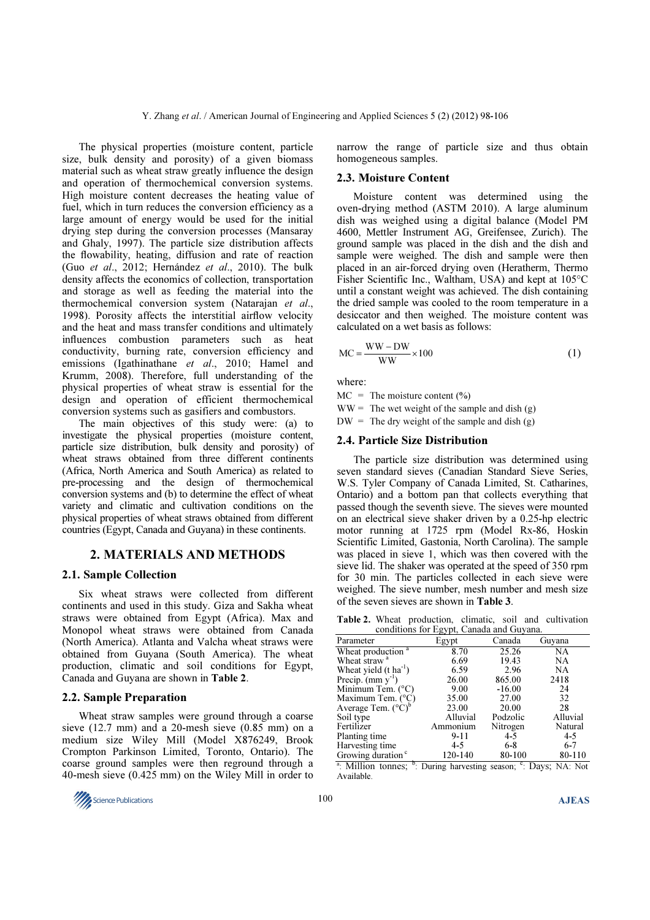The physical properties (moisture content, particle size, bulk density and porosity) of a given biomass material such as wheat straw greatly influence the design and operation of thermochemical conversion systems. High moisture content decreases the heating value of fuel, which in turn reduces the conversion efficiency as a large amount of energy would be used for the initial drying step during the conversion processes (Mansaray and Ghaly, 1997). The particle size distribution affects the flowability, heating, diffusion and rate of reaction (Guo et al., 2012; Hernández et al., 2010). The bulk density affects the economics of collection, transportation and storage as well as feeding the material into the thermochemical conversion system (Natarajan et al., 1998). Porosity affects the interstitial airflow velocity and the heat and mass transfer conditions and ultimately influences combustion parameters such as heat conductivity, burning rate, conversion efficiency and emissions (Igathinathane et al., 2010; Hamel and Krumm, 2008). Therefore, full understanding of the physical properties of wheat straw is essential for the design and operation of efficient thermochemical conversion systems such as gasifiers and combustors.

The main objectives of this study were: (a) to investigate the physical properties (moisture content, particle size distribution, bulk density and porosity) of wheat straws obtained from three different continents (Africa, North America and South America) as related to pre-processing and the design of thermochemical conversion systems and (b) to determine the effect of wheat variety and climatic and cultivation conditions on the physical properties of wheat straws obtained from different countries (Egypt, Canada and Guyana) in these continents.

## 2. MATERIALS AND METHODS

#### 2.1. Sample Collection

Six wheat straws were collected from different continents and used in this study. Giza and Sakha wheat straws were obtained from Egypt (Africa). Max and Monopol wheat straws were obtained from Canada (North America). Atlanta and Valcha wheat straws were obtained from Guyana (South America). The wheat production, climatic and soil conditions for Egypt, Canada and Guyana are shown in Table 2.

## 2.2. Sample Preparation

Wheat straw samples were ground through a coarse sieve (12.7 mm) and a 20-mesh sieve (0.85 mm) on a medium size Wiley Mill (Model X876249, Brook Crompton Parkinson Limited, Toronto, Ontario). The coarse ground samples were then reground through a 40-mesh sieve (0.425 mm) on the Wiley Mill in order to



narrow the range of particle size and thus obtain homogeneous samples.

## 2.3. Moisture Content

Moisture content was determined using the oven-drying method (ASTM 2010). A large aluminum dish was weighed using a digital balance (Model PM 4600, Mettler Instrument AG, Greifensee, Zurich). The ground sample was placed in the dish and the dish and sample were weighed. The dish and sample were then placed in an air-forced drying oven (Heratherm, Thermo Fisher Scientific Inc., Waltham, USA) and kept at 105°C until a constant weight was achieved. The dish containing the dried sample was cooled to the room temperature in a desiccator and then weighed. The moisture content was calculated on a wet basis as follows:

$$
MC = \frac{WW - DW}{WW} \times 100
$$
 (1)

where:

 $MC = The moisture content (%)$ 

 $WW =$ The wet weight of the sample and dish (g)

 $DW = The dry weight of the sample and dish (g)$ 

### 2.4. Particle Size Distribution

The particle size distribution was determined using seven standard sieves (Canadian Standard Sieve Series, W.S. Tyler Company of Canada Limited, St. Catharines, Ontario) and a bottom pan that collects everything that passed though the seventh sieve. The sieves were mounted on an electrical sieve shaker driven by a 0.25-hp electric motor running at 1725 rpm (Model Rx-86, Hoskin Scientific Limited, Gastonia, North Carolina). The sample was placed in sieve 1, which was then covered with the sieve lid. The shaker was operated at the speed of 350 rpm for 30 min. The particles collected in each sieve were weighed. The sieve number, mesh number and mesh size of the seven sieves are shown in Table 3.

Table 2. Wheat production, climatic, soil and cultivation conditions for Egypt, Canada and Guyana.

|                                                                            |          | conditions for Egypt, Canada and Ouyana. |          |  |  |  |  |  |
|----------------------------------------------------------------------------|----------|------------------------------------------|----------|--|--|--|--|--|
| Parameter                                                                  | Egypt    | Canada                                   | Guvana   |  |  |  |  |  |
| Wheat production <sup>a</sup>                                              | 8.70     | 25.26                                    | NA       |  |  |  |  |  |
| Wheat straw <sup>a</sup>                                                   | 6.69     | 19.43                                    | NA       |  |  |  |  |  |
| Wheat yield $(t \text{ ha}^1)$                                             | 6.59     | 2.96                                     | NA       |  |  |  |  |  |
| Precip. $(mm y-1)$                                                         | 26.00    | 865.00                                   | 2418     |  |  |  |  |  |
| Minimum Tem. $(^{\circ}C)$                                                 | 9.00     | $-16.00$                                 | 24       |  |  |  |  |  |
| Maximum Tem. (°C)                                                          | 35.00    | 27.00                                    | 32       |  |  |  |  |  |
| Average Tem. $({}^{\circ}\overset{\sim}{C})^{\circ}$                       | 23.00    | 20.00                                    | 28       |  |  |  |  |  |
| Soil type                                                                  | Alluvial | Podzolic                                 | Alluvial |  |  |  |  |  |
| Fertilizer                                                                 | Ammonium | Nitrogen                                 | Natural  |  |  |  |  |  |
| Planting time                                                              | 9-11     | $4 - 5$                                  | 4-5      |  |  |  |  |  |
| Harvesting time                                                            | $4 - 5$  | $6 - 8$                                  | $6 - 7$  |  |  |  |  |  |
| Growing duration <sup>c</sup>                                              | 120-140  | 80-100                                   | 80-110   |  |  |  |  |  |
| ь<br>$\sim$ $\sim$ $\sim$ $\sim$ $\sim$ $\sim$<br>$\overline{\phantom{a}}$ |          | $\sim$<br>$\overline{\phantom{a}}$       |          |  |  |  |  |  |

<sup>a</sup>: Million tonnes; <sup>b</sup>: During harvesting season; <sup>c</sup>: Days; NA: Not Available.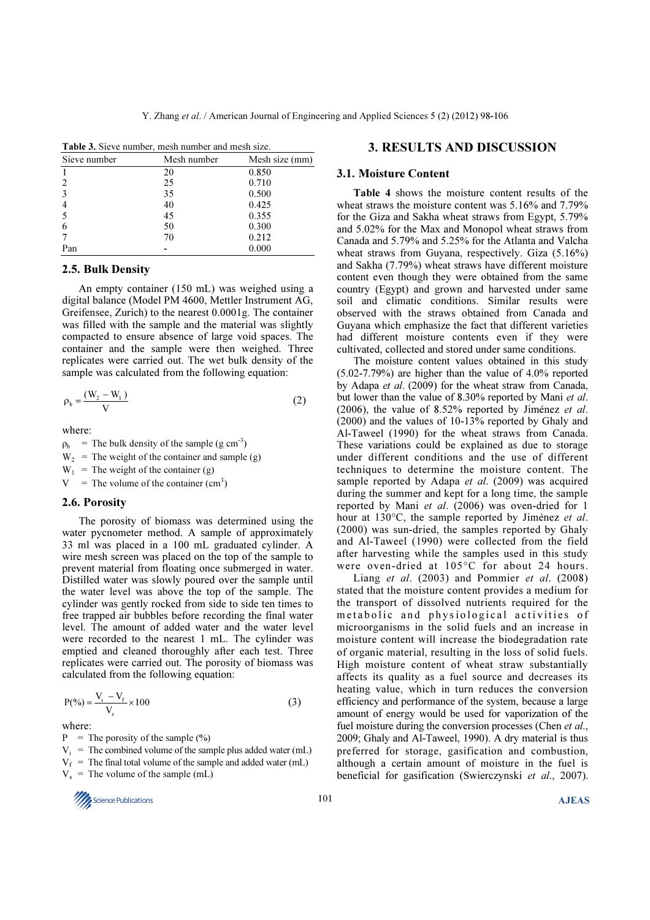| <b>Table 3.</b> Sieve number, mesh number and mesh size. |             |                |  |  |  |
|----------------------------------------------------------|-------------|----------------|--|--|--|
| Sieve number                                             | Mesh number | Mesh size (mm) |  |  |  |
|                                                          | 20          | 0.850          |  |  |  |
|                                                          | 25          | 0.710          |  |  |  |
|                                                          | 35          | 0.500          |  |  |  |
|                                                          | 40          | 0.425          |  |  |  |
|                                                          | 45          | 0.355          |  |  |  |
|                                                          | 50          | 0.300          |  |  |  |
|                                                          | 70          | 0.212          |  |  |  |
| Pan                                                      |             | 0.000          |  |  |  |

## 2.5. Bulk Density

An empty container (150 mL) was weighed using a digital balance (Model PM 4600, Mettler Instrument AG, Greifensee, Zurich) to the nearest 0.0001g. The container was filled with the sample and the material was slightly compacted to ensure absence of large void spaces. The container and the sample were then weighed. Three replicates were carried out. The wet bulk density of the sample was calculated from the following equation:

$$
\rho_{b} = \frac{(W_{2} - W_{1})}{V}
$$
 (2)

where:

 $\rho_b$  = The bulk density of the sample (g cm<sup>-3</sup>)  $W_2$  = The weight of the container and sample (g)

 $W_1$  = The weight of the container (g)

 $V =$  The volume of the container  $(cm<sup>3</sup>)$ 

#### 2.6. Porosity

The porosity of biomass was determined using the water pycnometer method. A sample of approximately 33 ml was placed in a 100 mL graduated cylinder. A wire mesh screen was placed on the top of the sample to prevent material from floating once submerged in water. Distilled water was slowly poured over the sample until the water level was above the top of the sample. The cylinder was gently rocked from side to side ten times to free trapped air bubbles before recording the final water level. The amount of added water and the water level were recorded to the nearest 1 mL. The cylinder was emptied and cleaned thoroughly after each test. Three replicates were carried out. The porosity of biomass was calculated from the following equation:

$$
P(\%) = \frac{V_i - V_f}{V_s} \times 100
$$
 (3)

where:

 $P =$  The porosity of the sample  $(\%)$ 

 $V_i$  = The combined volume of the sample plus added water (mL)  $V_f$  = The final total volume of the sample and added water (mL)  $V_s$  = The volume of the sample (mL)

# $\frac{101}{\sqrt{2}}$  Science Publications **AJEAS**

## 3. RESULTS AND DISCUSSION

### 3.1. Moisture Content

Table 4 shows the moisture content results of the wheat straws the moisture content was 5.16% and 7.79% for the Giza and Sakha wheat straws from Egypt, 5.79% and 5.02% for the Max and Monopol wheat straws from Canada and 5.79% and 5.25% for the Atlanta and Valcha wheat straws from Guyana, respectively. Giza (5.16%) and Sakha (7.79%) wheat straws have different moisture content even though they were obtained from the same country (Egypt) and grown and harvested under same soil and climatic conditions. Similar results were observed with the straws obtained from Canada and Guyana which emphasize the fact that different varieties had different moisture contents even if they were cultivated, collected and stored under same conditions.

The moisture content values obtained in this study (5.02-7.79%) are higher than the value of 4.0% reported by Adapa et al. (2009) for the wheat straw from Canada, but lower than the value of 8.30% reported by Mani et al. (2006), the value of 8.52% reported by Jiménez et al. (2000) and the values of 10-13% reported by Ghaly and Al-Taweel (1990) for the wheat straws from Canada. These variations could be explained as due to storage under different conditions and the use of different techniques to determine the moisture content. The sample reported by Adapa et al. (2009) was acquired during the summer and kept for a long time, the sample reported by Mani et al. (2006) was oven-dried for 1 hour at 130°C, the sample reported by Jiménez *et al.* (2000) was sun-dried, the samples reported by Ghaly and Al-Taweel (1990) were collected from the field after harvesting while the samples used in this study were oven-dried at 105°C for about 24 hours.

Liang et al. (2003) and Pommier et al. (2008) stated that the moisture content provides a medium for the transport of dissolved nutrients required for the metabolic and physiological activities of microorganisms in the solid fuels and an increase in moisture content will increase the biodegradation rate of organic material, resulting in the loss of solid fuels. High moisture content of wheat straw substantially affects its quality as a fuel source and decreases its heating value, which in turn reduces the conversion efficiency and performance of the system, because a large amount of energy would be used for vaporization of the fuel moisture during the conversion processes (Chen *et al.*, 2009; Ghaly and Al-Taweel, 1990). A dry material is thus preferred for storage, gasification and combustion, although a certain amount of moisture in the fuel is beneficial for gasification (Swierczynski et al., 2007).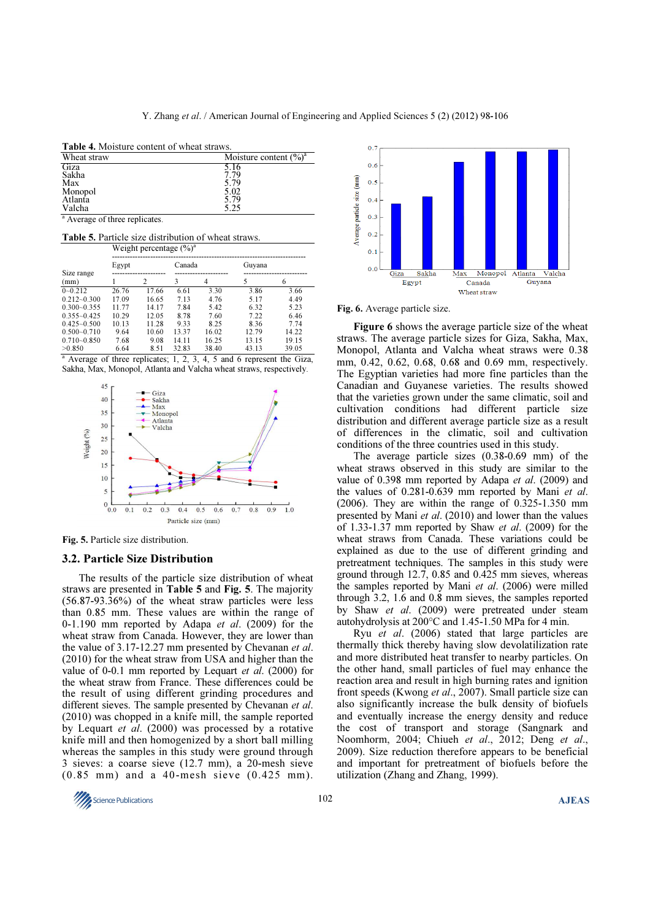| <b>Table 4.</b> Moisture content of wheat straws. |                                    |  |  |  |
|---------------------------------------------------|------------------------------------|--|--|--|
| Wheat straw                                       | Moisture content $(\frac{9}{0})^a$ |  |  |  |
| Giza                                              | 5.16                               |  |  |  |
| Sakha                                             | 7.79                               |  |  |  |
| Max                                               | 5.79                               |  |  |  |
| Monopol                                           | 5.02                               |  |  |  |
| Atlanta                                           | 5.79                               |  |  |  |
| Valcha                                            | 5.25                               |  |  |  |

<sup>a</sup> Average of three replicates.

Table 5. Particle size distribution of wheat straws. Weight percentage  $(\%)^4$ 

|                    | $\ldots$ eight percentage (70) |       |        |       |        |       |
|--------------------|--------------------------------|-------|--------|-------|--------|-------|
|                    | Egypt                          |       | Canada |       | Guyana |       |
| Size range<br>(mm) |                                | 2     | 3      | 4     |        | 6     |
| $0 - 0.212$        | 26.76                          | 17.66 | 6.61   | 3.30  | 3.86   | 3.66  |
| $0.212 - 0.300$    | 17.09                          | 16.65 | 7.13   | 4.76  | 5.17   | 4.49  |
| $0.300 - 0.355$    | 11.77                          | 14.17 | 7.84   | 5.42  | 6.32   | 5.23  |
| $0.355 - 0.425$    | 10.29                          | 12.05 | 8.78   | 7.60  | 7.22   | 6.46  |
| $0.425 - 0.500$    | 10.13                          | 11.28 | 9.33   | 8.25  | 8.36   | 7.74  |
| $0.500 - 0.710$    | 9.64                           | 10.60 | 13.37  | 16.02 | 12.79  | 14.22 |
| $0.710 - 0.850$    | 7.68                           | 9.08  | 14.11  | 16.25 | 13.15  | 19.15 |
| >0.850             | 6.64                           | 8.51  | 32.83  | 38.40 | 43.13  | 39.05 |

|  | <sup>a</sup> Average of three replicates; 1, 2, 3, 4, 5 and 6 represent the Giza, |  |  |  |  |  |
|--|-----------------------------------------------------------------------------------|--|--|--|--|--|
|  | Sakha, Max, Monopol, Atlanta and Valcha wheat straws, respectively.               |  |  |  |  |  |



Fig. 5. Particle size distribution.

## 3.2. Particle Size Distribution

The results of the particle size distribution of wheat straws are presented in Table 5 and Fig. 5. The majority (56.87-93.36%) of the wheat straw particles were less than 0.85 mm. These values are within the range of 0-1.190 mm reported by Adapa *et al.* (2009) for the wheat straw from Canada. However, they are lower than the value of 3.17-12.27 mm presented by Chevanan et al. (2010) for the wheat straw from USA and higher than the value of 0-0.1 mm reported by Lequart et al. (2000) for the wheat straw from France. These differences could be the result of using different grinding procedures and different sieves. The sample presented by Chevanan et al. (2010) was chopped in a knife mill, the sample reported by Lequart *et al.* (2000) was processed by a rotative knife mill and then homogenized by a short ball milling whereas the samples in this study were ground through 3 sieves: a coarse sieve (12.7 mm), a 20-mesh sieve (0.85 mm) and a 40-mesh sieve (0.425 mm).



Fig. 6. Average particle size.

Figure 6 shows the average particle size of the wheat straws. The average particle sizes for Giza, Sakha, Max, Monopol, Atlanta and Valcha wheat straws were 0.38 mm, 0.42, 0.62, 0.68, 0.68 and 0.69 mm, respectively. The Egyptian varieties had more fine particles than the Canadian and Guyanese varieties. The results showed that the varieties grown under the same climatic, soil and cultivation conditions had different particle size distribution and different average particle size as a result of differences in the climatic, soil and cultivation conditions of the three countries used in this study.

The average particle sizes (0.38-0.69 mm) of the wheat straws observed in this study are similar to the value of 0.398 mm reported by Adapa et al. (2009) and the values of 0.281-0.639 mm reported by Mani et al. (2006). They are within the range of 0.325-1.350 mm presented by Mani et al. (2010) and lower than the values of 1.33-1.37 mm reported by Shaw et al. (2009) for the wheat straws from Canada. These variations could be explained as due to the use of different grinding and pretreatment techniques. The samples in this study were ground through 12.7, 0.85 and 0.425 mm sieves, whereas the samples reported by Mani et al. (2006) were milled through 3.2, 1.6 and 0.8 mm sieves, the samples reported by Shaw et al. (2009) were pretreated under steam autohydrolysis at 200°C and 1.45-1.50 MPa for 4 min.

Ryu et al. (2006) stated that large particles are thermally thick thereby having slow devolatilization rate and more distributed heat transfer to nearby particles. On the other hand, small particles of fuel may enhance the reaction area and result in high burning rates and ignition front speeds (Kwong et al., 2007). Small particle size can also significantly increase the bulk density of biofuels and eventually increase the energy density and reduce the cost of transport and storage (Sangnark and Noomhorm, 2004; Chiueh et al., 2012; Deng et al., 2009). Size reduction therefore appears to be beneficial and important for pretreatment of biofuels before the utilization (Zhang and Zhang, 1999).

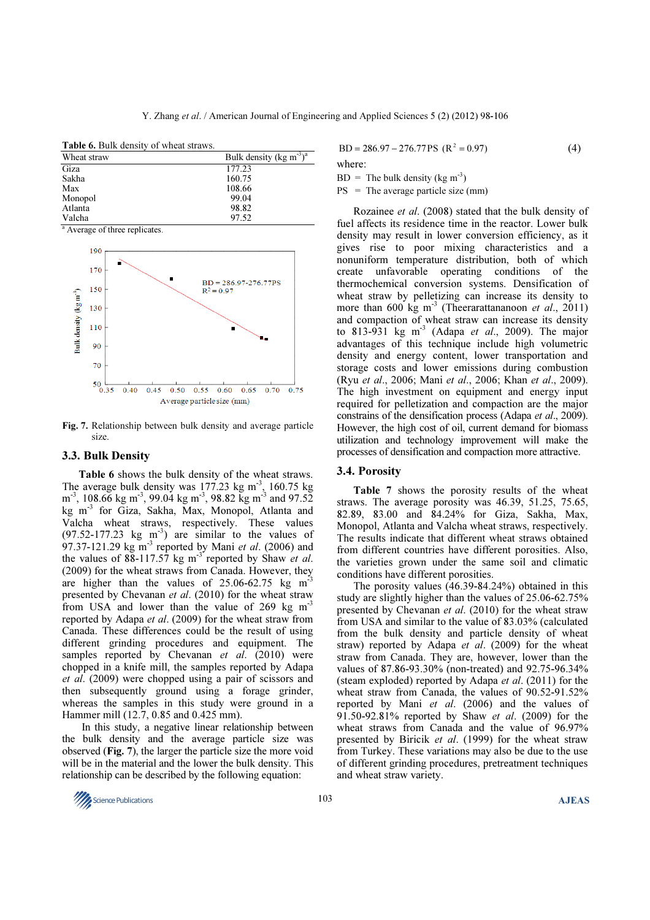Table 6. Bulk density of wheat straws.

| Wheat straw | Bulk density (kg m <sup>-3</sup> ) <sup>a</sup> |
|-------------|-------------------------------------------------|
| Giza        | 177.23                                          |
| Sakha       | 160.75                                          |
| Max         | 108.66                                          |
| Monopol     | 99.04                                           |
| Atlanta     | 98.82                                           |
| Valcha      | 97.52                                           |

<sup>a</sup> Average of three replicates.



Fig. 7. Relationship between bulk density and average particle size.

## 3.3. Bulk Density

Table 6 shows the bulk density of the wheat straws. The average bulk density was  $177.23 \text{ kg m}^3$ ,  $160.75 \text{ kg}$  $\text{m}^3$ , 108.66 kg m<sup>-3</sup>, 99.04 kg m<sup>-3</sup>, 98.82 kg m<sup>-3</sup> and 97.52 kg m-3 for Giza, Sakha, Max, Monopol, Atlanta and Valcha wheat straws, respectively. These values  $(97.52-177.23 \text{ kg} \text{ m}^3)$  are similar to the values of 97.37-121.29 kg  $\text{m}^3$  reported by Mani et al. (2006) and the values of  $88-117.57$  kg m<sup>-3</sup> reported by Shaw *et al.* (2009) for the wheat straws from Canada. However, they are higher than the values of  $25.06-62.75$  kg m<sup>3</sup> presented by Chevanan et al. (2010) for the wheat straw from USA and lower than the value of 269 kg m<sup>-3</sup> reported by Adapa et al. (2009) for the wheat straw from Canada. These differences could be the result of using different grinding procedures and equipment. The samples reported by Chevanan et al. (2010) were chopped in a knife mill, the samples reported by Adapa et al. (2009) were chopped using a pair of scissors and then subsequently ground using a forage grinder, whereas the samples in this study were ground in a Hammer mill (12.7, 0.85 and 0.425 mm).

 In this study, a negative linear relationship between the bulk density and the average particle size was observed (Fig. 7), the larger the particle size the more void will be in the material and the lower the bulk density. This relationship can be described by the following equation:

 $BD = 286.97 - 276.77PS$  (R<sup>2</sup> = 0.97) (4)

where:

 $BD =$ The bulk density (kg m<sup>-3</sup>)

 $PS = The average particle size (mm)$ 

Rozainee et al. (2008) stated that the bulk density of fuel affects its residence time in the reactor. Lower bulk density may result in lower conversion efficiency, as it gives rise to poor mixing characteristics and a nonuniform temperature distribution, both of which create unfavorable operating conditions of the thermochemical conversion systems. Densification of wheat straw by pelletizing can increase its density to more than 600 kg m<sup>-3</sup> (Theerarattananoon *et al.*, 2011) and compaction of wheat straw can increase its density to 813-931 kg m<sup>-3</sup> (Adapa et al., 2009). The major advantages of this technique include high volumetric density and energy content, lower transportation and storage costs and lower emissions during combustion (Ryu et al., 2006; Mani et al., 2006; Khan et al., 2009). The high investment on equipment and energy input required for pelletization and compaction are the major constrains of the densification process (Adapa et al., 2009). However, the high cost of oil, current demand for biomass utilization and technology improvement will make the processes of densification and compaction more attractive.

## 3.4. Porosity

Table 7 shows the porosity results of the wheat straws. The average porosity was 46.39, 51.25, 75.65, 82.89, 83.00 and 84.24% for Giza, Sakha, Max, Monopol, Atlanta and Valcha wheat straws, respectively. The results indicate that different wheat straws obtained from different countries have different porosities. Also, the varieties grown under the same soil and climatic conditions have different porosities.

The porosity values (46.39-84.24%) obtained in this study are slightly higher than the values of 25.06-62.75% presented by Chevanan *et al.* (2010) for the wheat straw from USA and similar to the value of 83.03% (calculated from the bulk density and particle density of wheat straw) reported by Adapa et al. (2009) for the wheat straw from Canada. They are, however, lower than the values of 87.86-93.30% (non-treated) and 92.75-96.34% (steam exploded) reported by Adapa et al. (2011) for the wheat straw from Canada, the values of 90.52-91.52% reported by Mani et al. (2006) and the values of 91.50-92.81% reported by Shaw et al. (2009) for the wheat straws from Canada and the value of 96.97% presented by Biricik et al. (1999) for the wheat straw from Turkey. These variations may also be due to the use of different grinding procedures, pretreatment techniques and wheat straw variety.

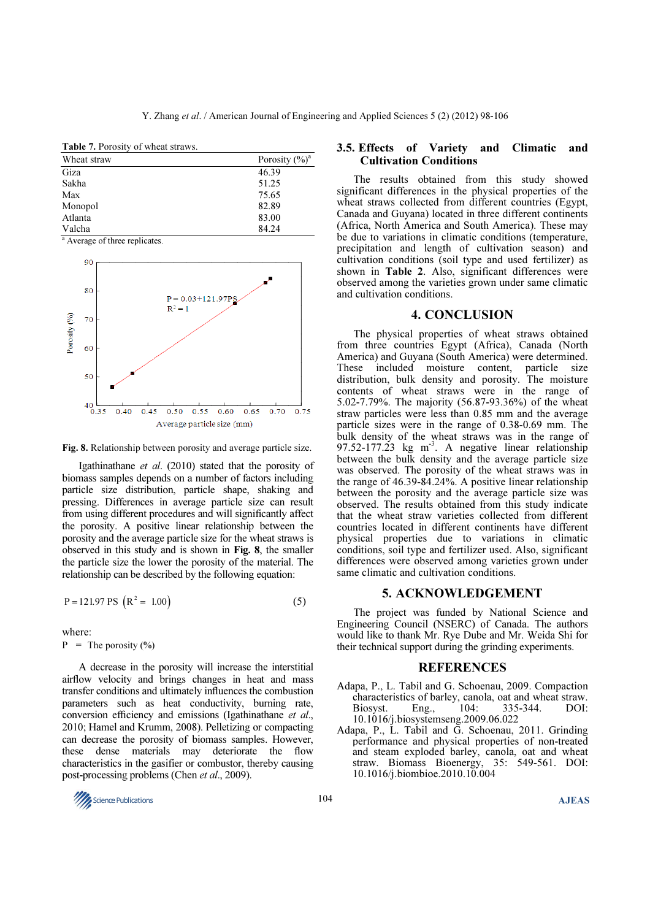Table 7. Porosity of wheat straws.

| Wheat straw | Porosity $(\frac{6}{9})^a$ |
|-------------|----------------------------|
| Giza        | 46.39                      |
| Sakha       | 51.25                      |
| Max         | 75.65                      |
| Monopol     | 82.89                      |
| Atlanta     | 83.00                      |
| Valcha      | 84.24                      |

<sup>a</sup> Average of three replicates.



Fig. 8. Relationship between porosity and average particle size.

Igathinathane et al. (2010) stated that the porosity of biomass samples depends on a number of factors including particle size distribution, particle shape, shaking and pressing. Differences in average particle size can result from using different procedures and will significantly affect the porosity. A positive linear relationship between the porosity and the average particle size for the wheat straws is observed in this study and is shown in Fig. 8, the smaller the particle size the lower the porosity of the material. The relationship can be described by the following equation:

$$
P = 121.97 \text{ PS} \left( R^2 = 1.00 \right) \tag{5}
$$

where:

 $P =$ The porosity  $(\% )$ 

A decrease in the porosity will increase the interstitial airflow velocity and brings changes in heat and mass transfer conditions and ultimately influences the combustion parameters such as heat conductivity, burning rate, conversion efficiency and emissions (Igathinathane et al., 2010; Hamel and Krumm, 2008). Pelletizing or compacting can decrease the porosity of biomass samples. However, these dense materials may deteriorate the flow characteristics in the gasifier or combustor, thereby causing post-processing problems (Chen et al., 2009).

# $\frac{104}{\sqrt{25}}$  Science Publications **AJEAS**

## 3.5. Effects of Variety and Climatic and Cultivation Conditions

The results obtained from this study showed significant differences in the physical properties of the wheat straws collected from different countries (Egypt, Canada and Guyana) located in three different continents (Africa, North America and South America). These may be due to variations in climatic conditions (temperature, precipitation and length of cultivation season) and cultivation conditions (soil type and used fertilizer) as shown in Table 2. Also, significant differences were observed among the varieties grown under same climatic and cultivation conditions.

## 4. CONCLUSION

The physical properties of wheat straws obtained from three countries Egypt (Africa), Canada (North America) and Guyana (South America) were determined. These included moisture content, particle size distribution, bulk density and porosity. The moisture contents of wheat straws were in the range of 5.02-7.79%. The majority (56.87-93.36%) of the wheat straw particles were less than 0.85 mm and the average particle sizes were in the range of 0.38-0.69 mm. The bulk density of the wheat straws was in the range of 97.52-177.23 kg m<sup>-3</sup>. A negative linear relationship between the bulk density and the average particle size was observed. The porosity of the wheat straws was in the range of 46.39-84.24%. A positive linear relationship between the porosity and the average particle size was observed. The results obtained from this study indicate that the wheat straw varieties collected from different countries located in different continents have different physical properties due to variations in climatic conditions, soil type and fertilizer used. Also, significant differences were observed among varieties grown under same climatic and cultivation conditions.

## 5. ACKNOWLEDGEMENT

The project was funded by National Science and Engineering Council (NSERC) of Canada. The authors would like to thank Mr. Rye Dube and Mr. Weida Shi for their technical support during the grinding experiments.

## **REFERENCES**

- Adapa, P., L. Tabil and G. Schoenau, 2009. Compaction characteristics of barley, canola, oat and wheat straw.<br>Biosyst. Eng., 104: 335-344. DOI: Biosyst. Eng., 104: 335-344. DOI: 10.1016/j.biosystemseng.2009.06.022
- Adapa, P., L. Tabil and G. Schoenau, 2011. Grinding performance and physical properties of non-treated and steam exploded barley, canola, oat and wheat straw. Biomass Bioenergy, 35: 549-561. DOI: 10.1016/j.biombioe.2010.10.004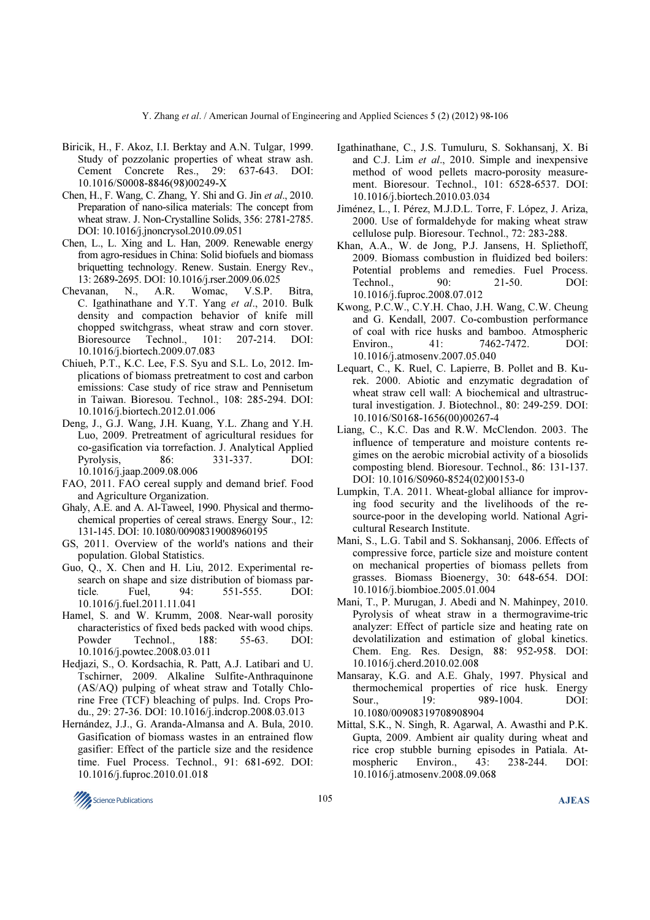- Biricik, H., F. Akoz, I.I. Berktay and A.N. Tulgar, 1999. Study of pozzolanic properties of wheat straw ash. Cement Concrete Res., 29: 637-643. DOI: 10.1016/S0008-8846(98)00249-X
- Chen, H., F. Wang, C. Zhang, Y. Shi and G. Jin et al., 2010. Preparation of nano-silica materials: The concept from wheat straw. J. Non-Crystalline Solids, 356: 2781-2785. DOI: 10.1016/j.jnoncrysol.2010.09.051
- Chen, L., L. Xing and L. Han, 2009. Renewable energy from agro-residues in China: Solid biofuels and biomass briquetting technology. Renew. Sustain. Energy Rev., 13: 2689-2695. DOI: 10.1016/j.rser.2009.06.025
- Chevanan, N., A.R. Womac, V.S.P. Bitra, C. Igathinathane and Y.T. Yang et al., 2010. Bulk density and compaction behavior of knife mill chopped switchgrass, wheat straw and corn stover. Bioresource Technol., 101: 207-214. DOI: 10.1016/j.biortech.2009.07.083
- Chiueh, P.T., K.C. Lee, F.S. Syu and S.L. Lo, 2012. Implications of biomass pretreatment to cost and carbon emissions: Case study of rice straw and Pennisetum in Taiwan. Bioresou. Technol., 108: 285-294. DOI: 10.1016/j.biortech.2012.01.006
- Deng, J., G.J. Wang, J.H. Kuang, Y.L. Zhang and Y.H. Luo, 2009. Pretreatment of agricultural residues for co-gasification via torrefaction. J. Analytical Applied Pyrolysis, 86: 331-337. DOI: 10.1016/j.jaap.2009.08.006
- FAO, 2011. FAO cereal supply and demand brief. Food and Agriculture Organization.
- Ghaly, A.E. and A. Al-Taweel, 1990. Physical and thermochemical properties of cereal straws. Energy Sour., 12: 131-145. DOI: 10.1080/00908319008960195
- GS, 2011. Overview of the world's nations and their population. Global Statistics.
- Guo, Q., X. Chen and H. Liu, 2012. Experimental research on shape and size distribution of biomass particle. Fuel, 94: 551-555. DOI: 10.1016/j.fuel.2011.11.041
- Hamel, S. and W. Krumm, 2008. Near-wall porosity characteristics of fixed beds packed with wood chips. Powder Technol., 188: 55-63. DOI: 10.1016/j.powtec.2008.03.011
- Hedjazi, S., O. Kordsachia, R. Patt, A.J. Latibari and U. Tschirner, 2009. Alkaline Sulfite-Anthraquinone (AS/AQ) pulping of wheat straw and Totally Chlorine Free (TCF) bleaching of pulps. Ind. Crops Produ., 29: 27-36. DOI: 10.1016/j.indcrop.2008.03.013
- Hernández, J.J., G. Aranda-Almansa and A. Bula, 2010. Gasification of biomass wastes in an entrained flow gasifier: Effect of the particle size and the residence time. Fuel Process. Technol., 91: 681-692. DOI: 10.1016/j.fuproc.2010.01.018
- Igathinathane, C., J.S. Tumuluru, S. Sokhansanj, X. Bi and C.J. Lim et al., 2010. Simple and inexpensive method of wood pellets macro-porosity measurement. Bioresour. Technol., 101: 6528-6537. DOI: 10.1016/j.biortech.2010.03.034
- Jiménez, L., I. Pérez, M.J.D.L. Torre, F. López, J. Ariza, 2000. Use of formaldehyde for making wheat straw cellulose pulp. Bioresour. Technol., 72: 283-288.
- Khan, A.A., W. de Jong, P.J. Jansens, H. Spliethoff, 2009. Biomass combustion in fluidized bed boilers: Potential problems and remedies. Fuel Process. Technol., 90: 21-50. DOI: 10.1016/j.fuproc.2008.07.012
- Kwong, P.C.W., C.Y.H. Chao, J.H. Wang, C.W. Cheung and G. Kendall, 2007. Co-combustion performance of coal with rice husks and bamboo. Atmospheric Environ. 41: 7462-7472. DOI: 10.1016/j.atmosenv.2007.05.040
- Lequart, C., K. Ruel, C. Lapierre, B. Pollet and B. Kurek. 2000. Abiotic and enzymatic degradation of wheat straw cell wall: A biochemical and ultrastructural investigation. J. Biotechnol., 80: 249-259. DOI: 10.1016/S0168-1656(00)00267-4
- Liang, C., K.C. Das and R.W. McClendon. 2003. The influence of temperature and moisture contents regimes on the aerobic microbial activity of a biosolids composting blend. Bioresour. Technol., 86: 131-137. DOI: 10.1016/S0960-8524(02)00153-0
- Lumpkin, T.A. 2011. Wheat-global alliance for improving food security and the livelihoods of the resource-poor in the developing world. National Agricultural Research Institute.
- Mani, S., L.G. Tabil and S. Sokhansanj, 2006. Effects of compressive force, particle size and moisture content on mechanical properties of biomass pellets from grasses. Biomass Bioenergy, 30: 648-654. DOI: 10.1016/j.biombioe.2005.01.004
- Mani, T., P. Murugan, J. Abedi and N. Mahinpey, 2010. Pyrolysis of wheat straw in a thermogravime-tric analyzer: Effect of particle size and heating rate on devolatilization and estimation of global kinetics. Chem. Eng. Res. Design, 88: 952-958. DOI: 10.1016/j.cherd.2010.02.008
- Mansaray, K.G. and A.E. Ghaly, 1997. Physical and thermochemical properties of rice husk. Energy Sour.. 19: 989-1004. DOI: 10.1080/00908319708908904
- Mittal, S.K., N. Singh, R. Agarwal, A. Awasthi and P.K. Gupta, 2009. Ambient air quality during wheat and rice crop stubble burning episodes in Patiala. Atmospheric Environ., 43: 238-244. DOI: 10.1016/j.atmosenv.2008.09.068